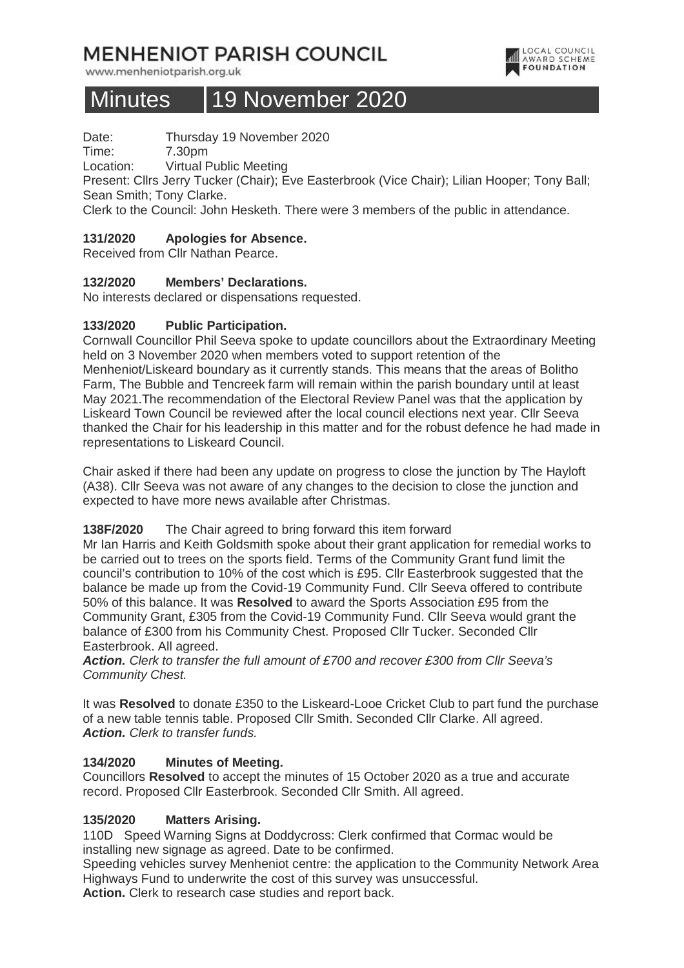# **MENHENIOT PARISH COUNCIL**

www.menheniotparish.org.uk



# Minutes 19 November 2020

Date: Thursday 19 November 2020

Time: 7.30pm

Location: Virtual Public Meeting

Present: Cllrs Jerry Tucker (Chair); Eve Easterbrook (Vice Chair); Lilian Hooper; Tony Ball; Sean Smith; Tony Clarke.

Clerk to the Council: John Hesketh. There were 3 members of the public in attendance.

# **131/2020 Apologies for Absence.**

Received from Cllr Nathan Pearce.

# **132/2020 Members' Declarations.**

No interests declared or dispensations requested.

# **133/2020 Public Participation.**

Cornwall Councillor Phil Seeva spoke to update councillors about the Extraordinary Meeting held on 3 November 2020 when members voted to support retention of the Menheniot/Liskeard boundary as it currently stands. This means that the areas of Bolitho Farm, The Bubble and Tencreek farm will remain within the parish boundary until at least May 2021.The recommendation of the Electoral Review Panel was that the application by Liskeard Town Council be reviewed after the local council elections next year. Cllr Seeva thanked the Chair for his leadership in this matter and for the robust defence he had made in representations to Liskeard Council.

Chair asked if there had been any update on progress to close the junction by The Hayloft (A38). Cllr Seeva was not aware of any changes to the decision to close the junction and expected to have more news available after Christmas.

#### **138F/2020** The Chair agreed to bring forward this item forward

Mr Ian Harris and Keith Goldsmith spoke about their grant application for remedial works to be carried out to trees on the sports field. Terms of the Community Grant fund limit the council's contribution to 10% of the cost which is £95. Cllr Easterbrook suggested that the balance be made up from the Covid-19 Community Fund. Cllr Seeva offered to contribute 50% of this balance. It was **Resolved** to award the Sports Association £95 from the Community Grant, £305 from the Covid-19 Community Fund. Cllr Seeva would grant the balance of £300 from his Community Chest. Proposed Cllr Tucker. Seconded Cllr Easterbrook. All agreed.

**Action.** Clerk to transfer the full amount of £700 and recover £300 from Cllr Seeva's Community Chest.

It was **Resolved** to donate £350 to the Liskeard-Looe Cricket Club to part fund the purchase of a new table tennis table. Proposed Cllr Smith. Seconded Cllr Clarke. All agreed. **Action.** Clerk to transfer funds.

#### **134/2020 Minutes of Meeting.**

Councillors **Resolved** to accept the minutes of 15 October 2020 as a true and accurate record. Proposed Cllr Easterbrook. Seconded Cllr Smith. All agreed.

#### **135/2020 Matters Arising.**

110D Speed Warning Signs at Doddycross: Clerk confirmed that Cormac would be installing new signage as agreed. Date to be confirmed.

Speeding vehicles survey Menheniot centre: the application to the Community Network Area Highways Fund to underwrite the cost of this survey was unsuccessful.

**Action.** Clerk to research case studies and report back.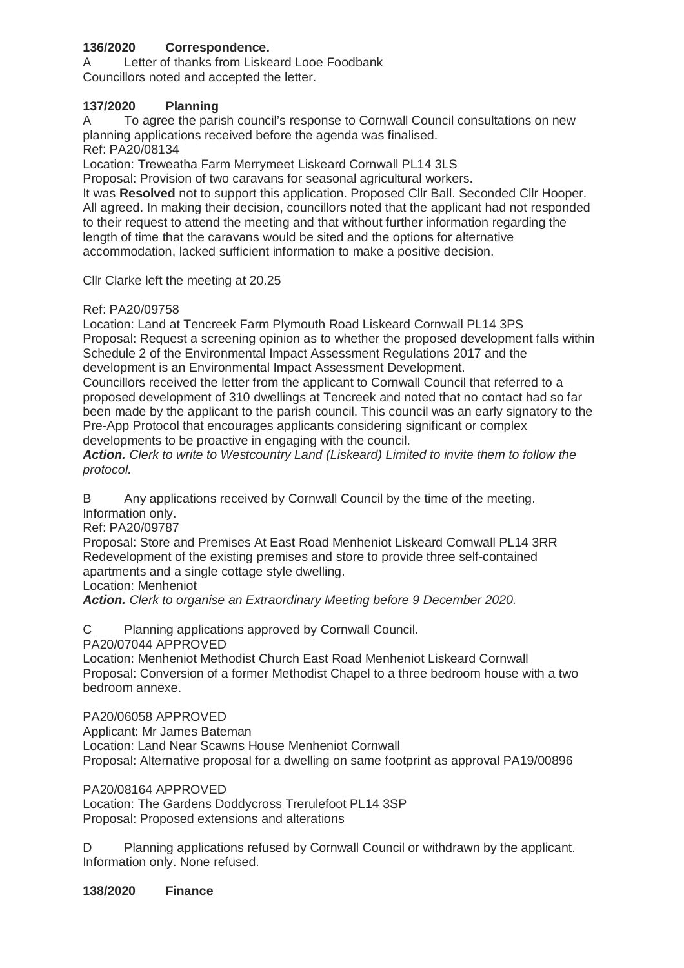# **136/2020 Correspondence.**

A Letter of thanks from Liskeard Looe Foodbank Councillors noted and accepted the letter.

### **137/2020 Planning**

A To agree the parish council's response to Cornwall Council consultations on new planning applications received before the agenda was finalised.

Ref: PA20/08134

Location: Treweatha Farm Merrymeet Liskeard Cornwall PL14 3LS

Proposal: Provision of two caravans for seasonal agricultural workers. It was **Resolved** not to support this application. Proposed Cllr Ball. Seconded Cllr Hooper. All agreed. In making their decision, councillors noted that the applicant had not responded to their request to attend the meeting and that without further information regarding the length of time that the caravans would be sited and the options for alternative accommodation, lacked sufficient information to make a positive decision.

Cllr Clarke left the meeting at 20.25

#### Ref: PA20/09758

Location: Land at Tencreek Farm Plymouth Road Liskeard Cornwall PL14 3PS Proposal: Request a screening opinion as to whether the proposed development falls within Schedule 2 of the Environmental Impact Assessment Regulations 2017 and the development is an Environmental Impact Assessment Development.

Councillors received the letter from the applicant to Cornwall Council that referred to a proposed development of 310 dwellings at Tencreek and noted that no contact had so far been made by the applicant to the parish council. This council was an early signatory to the Pre-App Protocol that encourages applicants considering significant or complex developments to be proactive in engaging with the council.

**Action.** Clerk to write to Westcountry Land (Liskeard) Limited to invite them to follow the protocol.

B Any applications received by Cornwall Council by the time of the meeting. Information only.

Ref: PA20/09787

Proposal: Store and Premises At East Road Menheniot Liskeard Cornwall PL14 3RR Redevelopment of the existing premises and store to provide three self-contained apartments and a single cottage style dwelling.

Location: Menheniot

**Action.** Clerk to organise an Extraordinary Meeting before 9 December 2020.

C Planning applications approved by Cornwall Council.

PA20/07044 APPROVED

Location: Menheniot Methodist Church East Road Menheniot Liskeard Cornwall Proposal: Conversion of a former Methodist Chapel to a three bedroom house with a two bedroom annexe.

PA20/06058 APPROVED

Applicant: Mr James Bateman Location: Land Near Scawns House Menheniot Cornwall Proposal: Alternative proposal for a dwelling on same footprint as approval PA19/00896

PA20/08164 APPROVED

Location: The Gardens Doddycross Trerulefoot PL14 3SP Proposal: Proposed extensions and alterations

D Planning applications refused by Cornwall Council or withdrawn by the applicant. Information only. None refused.

**138/2020 Finance**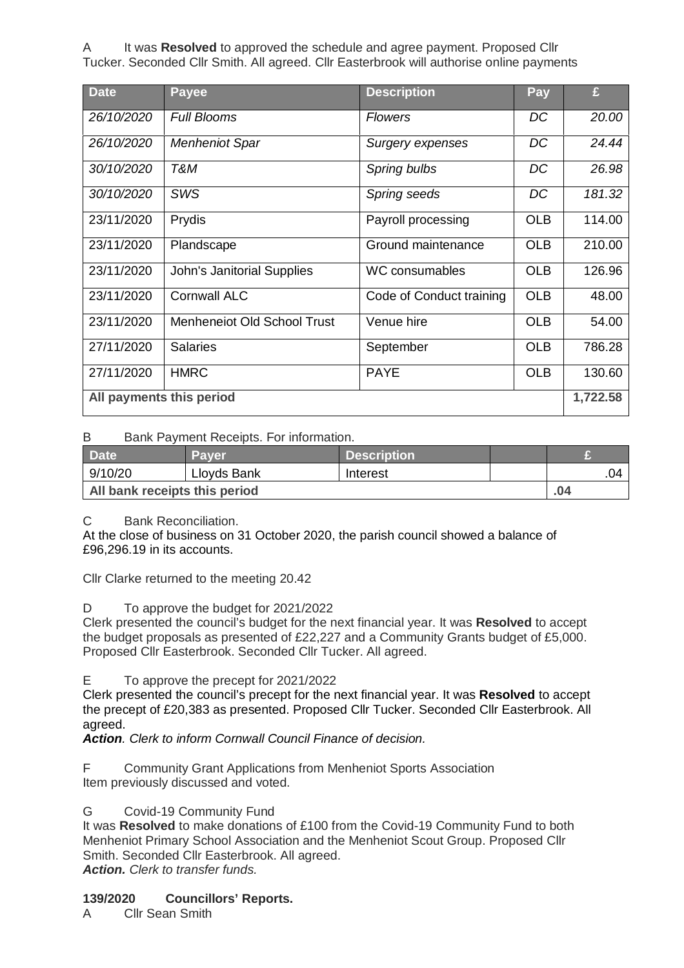A It was **Resolved** to approved the schedule and agree payment. Proposed Cllr Tucker. Seconded Cllr Smith. All agreed. Cllr Easterbrook will authorise online payments

| <b>Date</b>              | <b>Payee</b>                       | <b>Description</b>       | Pay        | £      |  |
|--------------------------|------------------------------------|--------------------------|------------|--------|--|
| 26/10/2020               | <b>Full Blooms</b>                 | <b>Flowers</b>           | DC         | 20.00  |  |
| 26/10/2020               | <b>Menheniot Spar</b>              | Surgery expenses         | DC         | 24.44  |  |
| 30/10/2020               | T&M                                | Spring bulbs             | DC         | 26.98  |  |
| 30/10/2020               | <b>SWS</b>                         | Spring seeds             | DC         | 181.32 |  |
| 23/11/2020               | Prydis                             | Payroll processing       | <b>OLB</b> | 114.00 |  |
| 23/11/2020               | Plandscape                         | Ground maintenance       | <b>OLB</b> | 210.00 |  |
| 23/11/2020               | <b>John's Janitorial Supplies</b>  | <b>WC consumables</b>    | <b>OLB</b> | 126.96 |  |
| 23/11/2020               | <b>Cornwall ALC</b>                | Code of Conduct training | <b>OLB</b> | 48.00  |  |
| 23/11/2020               | <b>Menheneiot Old School Trust</b> | Venue hire               | <b>OLB</b> | 54.00  |  |
| 27/11/2020               | <b>Salaries</b>                    | September                | <b>OLB</b> | 786.28 |  |
| 27/11/2020               | <b>HMRC</b>                        | <b>PAYE</b>              | <b>OLB</b> | 130.60 |  |
| All payments this period |                                    |                          |            |        |  |

#### B Bank Payment Receipts. For information.

| <b>Date</b>                   | <b>Paver</b> | Description <sup>1</sup> |  |     |
|-------------------------------|--------------|--------------------------|--|-----|
| 9/10/20                       | Lloyds Bank  | Interest                 |  | .04 |
| All bank receipts this period |              |                          |  | .04 |

C Bank Reconciliation.

At the close of business on 31 October 2020, the parish council showed a balance of £96,296.19 in its accounts.

Cllr Clarke returned to the meeting 20.42

D To approve the budget for 2021/2022

Clerk presented the council's budget for the next financial year. It was **Resolved** to accept the budget proposals as presented of £22,227 and a Community Grants budget of £5,000. Proposed Cllr Easterbrook. Seconded Cllr Tucker. All agreed.

E To approve the precept for 2021/2022

Clerk presented the council's precept for the next financial year. It was **Resolved** to accept the precept of £20,383 as presented. Proposed Cllr Tucker. Seconded Cllr Easterbrook. All agreed.

**Action**. Clerk to inform Cornwall Council Finance of decision.

F Community Grant Applications from Menheniot Sports Association Item previously discussed and voted.

#### G Covid-19 Community Fund

It was **Resolved** to make donations of £100 from the Covid-19 Community Fund to both Menheniot Primary School Association and the Menheniot Scout Group. Proposed Cllr Smith. Seconded Cllr Easterbrook. All agreed. **Action.** Clerk to transfer funds.

#### **139/2020 Councillors' Reports.**

A Cllr Sean Smith